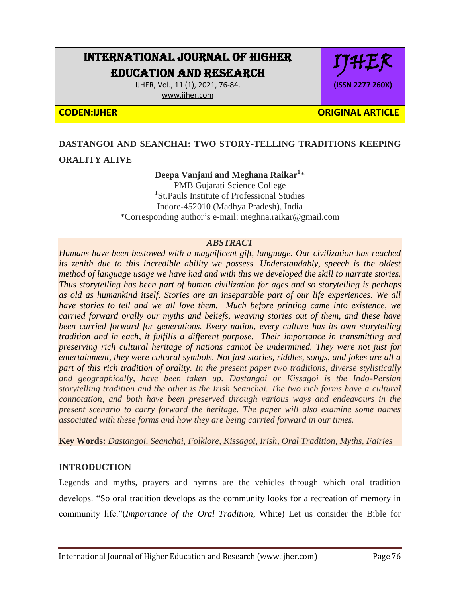# INTERNATIONAL JOURNAL OF HIGHER EDUCATION AND RESEARCH

IJHER, Vol., 11 (1), 2021, 76-84.

[www.ijher.com](http://www.ijher.com/)

### **CODEN:IJHER ORIGINAL ARTICLE**

IJHER

**(ISSN 2277 260X)**

## **DASTANGOI AND SEANCHAI: TWO STORY-TELLING TRADITIONS KEEPING ORALITY ALIVE**

#### **Deepa Vanjani and Meghana Raikar<sup>1</sup>** \* PMB Gujarati Science College <sup>1</sup>St.Pauls Institute of Professional Studies Indore-452010 (Madhya Pradesh), India \*Corresponding author"s e-mail: meghna.raikar@gmail.com

#### *ABSTRACT*

*Humans have been bestowed with a magnificent gift, language. Our civilization has reached its zenith due to this incredible ability we possess. Understandably, speech is the oldest method of language usage we have had and with this we developed the skill to narrate stories. Thus storytelling has been part of human civilization for ages and so storytelling is perhaps as old as humankind itself. Stories are an inseparable part of our life experiences. We all have stories to tell and we all love them. Much before printing came into existence, we carried forward orally our myths and beliefs, weaving stories out of them, and these have been carried forward for generations. Every nation, every culture has its own storytelling tradition and in each, it fulfills a different purpose. Their importance in transmitting and preserving rich cultural heritage of nations cannot be undermined. They were not just for entertainment, they were cultural symbols. Not just stories, riddles, songs, and jokes are all a part of this rich tradition of orality. In the present paper two traditions, diverse stylistically and geographically, have been taken up. Dastangoi or Kissagoi is the Indo-Persian storytelling tradition and the other is the Irish Seanchai. The two rich forms have a cultural connotation, and both have been preserved through various ways and endeavours in the present scenario to carry forward the heritage. The paper will also examine some names associated with these forms and how they are being carried forward in our times.*

**Key Words:** *Dastangoi, Seanchai, Folklore, Kissagoi, Irish, Oral Tradition, Myths, Fairies*

#### **INTRODUCTION**

Legends and myths, prayers and hymns are the vehicles through which oral tradition develops. "So oral tradition develops as the community looks for a recreation of memory in community life."(*Importance of the Oral Tradition*, White) Let us consider the Bible for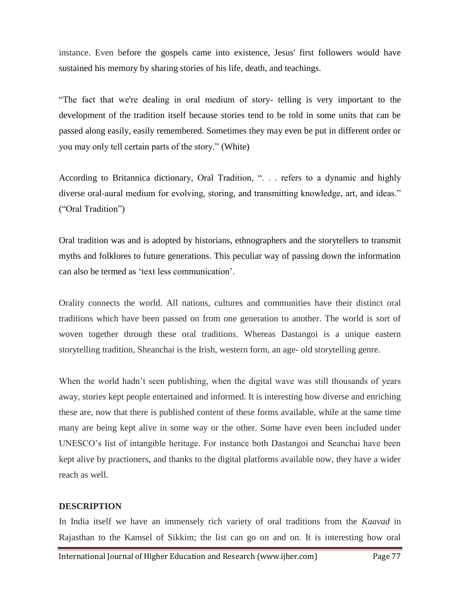instance. Even before the gospels came into existence, Jesus' first followers would have sustained his memory by sharing stories of his life, death, and teachings.

"The fact that we're dealing in oral medium of story- telling is very important to the development of the tradition itself because stories tend to be told in some units that can be passed along easily, easily remembered. Sometimes they may even be put in different order or you may only tell certain parts of the story." (White)

According to Britannica dictionary, Oral Tradition, ". . . refers to a dynamic and highly diverse oral-aural medium for evolving, storing, and transmitting knowledge, art, and ideas." ("Oral Tradition")

Oral tradition was and is adopted by historians, ethnographers and the storytellers to transmit myths and folklores to future generations. This peculiar way of passing down the information can also be termed as "text less communication".

Orality connects the world. All nations, cultures and communities have their distinct oral traditions which have been passed on from one generation to another. The world is sort of woven together through these oral traditions. Whereas Dastangoi is a unique eastern storytelling tradition, Sheanchai is the Irish, western form, an age- old storytelling genre.

When the world hadn't seen publishing, when the digital wave was still thousands of years away, stories kept people entertained and informed. It is interesting how diverse and enriching these are, now that there is published content of these forms available, while at the same time many are being kept alive in some way or the other. Some have even been included under UNESCO"s list of intangible heritage. For instance both Dastangoi and Seanchai have been kept alive by practioners, and thanks to the digital platforms available now, they have a wider reach as well.

#### **DESCRIPTION**

In India itself we have an immensely rich variety of oral traditions from the *Kaavad* in Rajasthan to the Kamsel of Sikkim; the list can go on and on. It is interesting how oral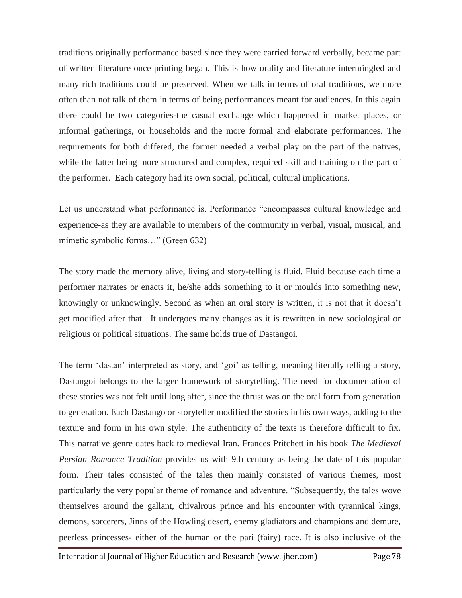traditions originally performance based since they were carried forward verbally, became part of written literature once printing began. This is how orality and literature intermingled and many rich traditions could be preserved. When we talk in terms of oral traditions, we more often than not talk of them in terms of being performances meant for audiences. In this again there could be two categories-the casual exchange which happened in market places, or informal gatherings, or households and the more formal and elaborate performances. The requirements for both differed, the former needed a verbal play on the part of the natives, while the latter being more structured and complex, required skill and training on the part of the performer. Each category had its own social, political, cultural implications.

Let us understand what performance is. Performance "encompasses cultural knowledge and experience-as they are available to members of the community in verbal, visual, musical, and mimetic symbolic forms…" (Green 632)

The story made the memory alive, living and story-telling is fluid. Fluid because each time a performer narrates or enacts it, he/she adds something to it or moulds into something new, knowingly or unknowingly. Second as when an oral story is written, it is not that it doesn"t get modified after that. It undergoes many changes as it is rewritten in new sociological or religious or political situations. The same holds true of Dastangoi.

The term 'dastan' interpreted as story, and 'goi' as telling, meaning literally telling a story, Dastangoi belongs to the larger framework of storytelling. The need for documentation of these stories was not felt until long after, since the thrust was on the oral form from generation to generation. Each Dastango or storyteller modified the stories in his own ways, adding to the texture and form in his own style. The authenticity of the texts is therefore difficult to fix. This narrative genre dates back to medieval Iran. Frances Pritchett in his book *The Medieval Persian Romance Tradition* provides us with 9th century as being the date of this popular form. Their tales consisted of the tales then mainly consisted of various themes, most particularly the very popular theme of romance and adventure. "Subsequently, the tales wove themselves around the gallant, chivalrous prince and his encounter with tyrannical kings, demons, sorcerers, Jinns of the Howling desert, enemy gladiators and champions and demure, peerless princesses- either of the human or the pari (fairy) race. It is also inclusive of the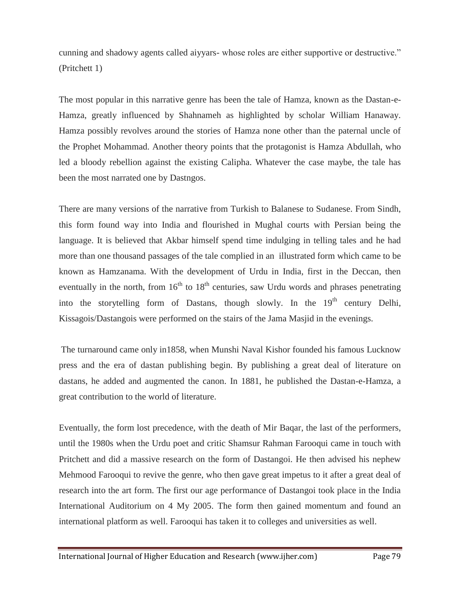cunning and shadowy agents called aiyyars- whose roles are either supportive or destructive." (Pritchett 1)

The most popular in this narrative genre has been the tale of Hamza, known as the Dastan-e-Hamza, greatly influenced by Shahnameh as highlighted by scholar William Hanaway. Hamza possibly revolves around the stories of Hamza none other than the paternal uncle of the Prophet Mohammad. Another theory points that the protagonist is Hamza Abdullah, who led a bloody rebellion against the existing Calipha. Whatever the case maybe, the tale has been the most narrated one by Dastngos.

There are many versions of the narrative from Turkish to Balanese to Sudanese. From Sindh, this form found way into India and flourished in Mughal courts with Persian being the language. It is believed that Akbar himself spend time indulging in telling tales and he had more than one thousand passages of the tale complied in an illustrated form which came to be known as Hamzanama. With the development of Urdu in India, first in the Deccan, then eventually in the north, from  $16<sup>th</sup>$  to  $18<sup>th</sup>$  centuries, saw Urdu words and phrases penetrating into the storytelling form of Dastans, though slowly. In the 19<sup>th</sup> century Delhi, Kissagois/Dastangois were performed on the stairs of the Jama Masjid in the evenings.

The turnaround came only in1858, when Munshi Naval Kishor founded his famous Lucknow press and the era of dastan publishing begin. By publishing a great deal of literature on dastans, he added and augmented the canon. In 1881, he published the Dastan-e-Hamza, a great contribution to the world of literature.

Eventually, the form lost precedence, with the death of Mir Baqar, the last of the performers, until the 1980s when the Urdu poet and critic Shamsur Rahman Farooqui came in touch with Pritchett and did a massive research on the form of Dastangoi. He then advised his nephew Mehmood Farooqui to revive the genre, who then gave great impetus to it after a great deal of research into the art form. The first our age performance of Dastangoi took place in the India International Auditorium on 4 My 2005. The form then gained momentum and found an international platform as well. Farooqui has taken it to colleges and universities as well.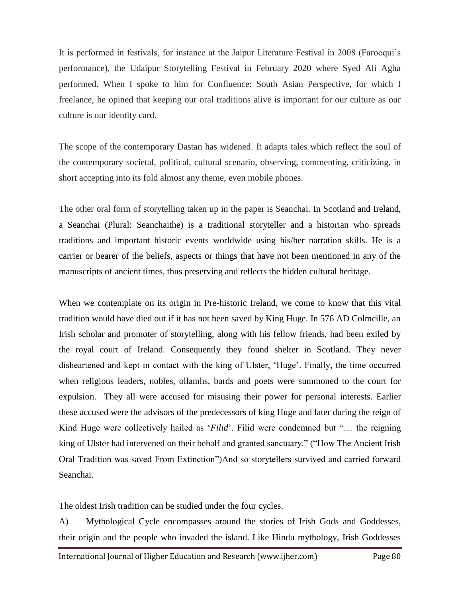It is performed in festivals, for instance at the Jaipur Literature Festival in 2008 (Farooqui"s performance), the Udaipur Storytelling Festival in February 2020 where Syed Ali Agha performed. When I spoke to him for Confluence: South Asian Perspective, for which I freelance, he opined that keeping our oral traditions alive is important for our culture as our culture is our identity card.

The scope of the contemporary Dastan has widened. It adapts tales which reflect the soul of the contemporary societal, political, cultural scenario, observing, commenting, criticizing, in short accepting into its fold almost any theme, even mobile phones.

The other oral form of storytelling taken up in the paper is Seanchai. In Scotland and Ireland, a Seanchai (Plural: Seanchaithe) is a traditional storyteller and a historian who spreads traditions and important historic events worldwide using his/her narration skills. He is a carrier or bearer of the beliefs, aspects or things that have not been mentioned in any of the manuscripts of ancient times, thus preserving and reflects the hidden cultural heritage.

When we contemplate on its origin in Pre-historic Ireland, we come to know that this vital tradition would have died out if it has not been saved by King Huge. In 576 AD Colmcille, an Irish scholar and promoter of storytelling, along with his fellow friends, had been exiled by the royal court of Ireland. Consequently they found shelter in Scotland. They never disheartened and kept in contact with the king of Ulster, 'Huge'. Finally, the time occurred when religious leaders, nobles, ollamhs, bards and poets were summoned to the court for expulsion. They all were accused for misusing their power for personal interests. Earlier these accused were the advisors of the predecessors of king Huge and later during the reign of Kind Huge were collectively hailed as "*Filid*". Filid were condemned but "… the reigning king of Ulster had intervened on their behalf and granted sanctuary." ("How The Ancient Irish Oral Tradition was saved From Extinction")And so storytellers survived and carried forward Seanchai.

The oldest Irish tradition can be studied under the four cycles.

A) Mythological Cycle encompasses around the stories of Irish Gods and Goddesses, their origin and the people who invaded the island. Like Hindu mythology, Irish Goddesses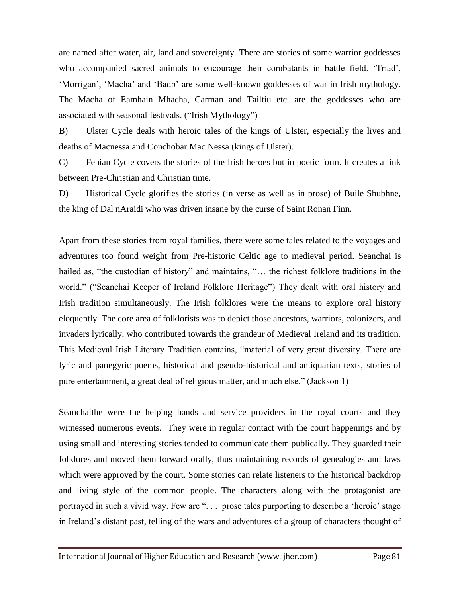are named after water, air, land and sovereignty. There are stories of some warrior goddesses who accompanied sacred animals to encourage their combatants in battle field. "Triad", "Morrigan", "Macha" and "Badb" are some well-known goddesses of war in Irish mythology. The Macha of Eamhain Mhacha, Carman and Tailtiu etc. are the goddesses who are associated with seasonal festivals. ("Irish Mythology")

B) Ulster Cycle deals with heroic tales of the kings of Ulster, especially the lives and deaths of Macnessa and Conchobar Mac Nessa (kings of Ulster).

C) Fenian Cycle covers the stories of the Irish heroes but in poetic form. It creates a link between Pre-Christian and Christian time.

D) Historical Cycle glorifies the stories (in verse as well as in prose) of Buile Shubhne, the king of Dal nAraidi who was driven insane by the curse of Saint Ronan Finn.

Apart from these stories from royal families, there were some tales related to the voyages and adventures too found weight from Pre-historic Celtic age to medieval period. Seanchai is hailed as, "the custodian of history" and maintains, "... the richest folklore traditions in the world." ("Seanchai Keeper of Ireland Folklore Heritage") They dealt with oral history and Irish tradition simultaneously. The Irish folklores were the means to explore oral history eloquently. The core area of folklorists was to depict those ancestors, warriors, colonizers, and invaders lyrically, who contributed towards the grandeur of Medieval Ireland and its tradition. This Medieval Irish Literary Tradition contains, "material of very great diversity. There are lyric and panegyric poems, historical and pseudo-historical and antiquarian texts, stories of pure entertainment, a great deal of religious matter, and much else." (Jackson 1)

Seanchaithe were the helping hands and service providers in the royal courts and they witnessed numerous events. They were in regular contact with the court happenings and by using small and interesting stories tended to communicate them publically. They guarded their folklores and moved them forward orally, thus maintaining records of genealogies and laws which were approved by the court. Some stories can relate listeners to the historical backdrop and living style of the common people. The characters along with the protagonist are portrayed in such a vivid way. Few are ". . . prose tales purporting to describe a "heroic" stage in Ireland"s distant past, telling of the wars and adventures of a group of characters thought of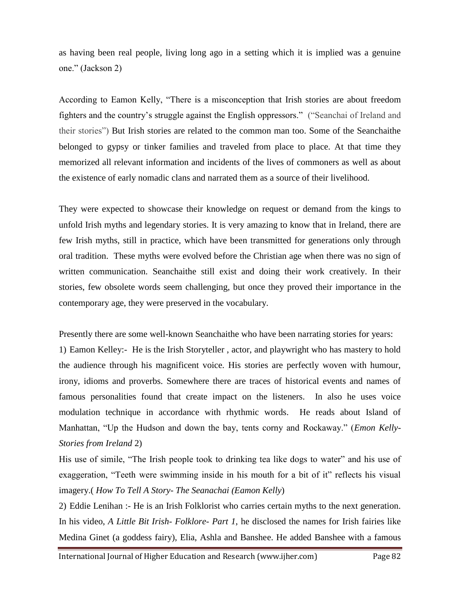as having been real people, living long ago in a setting which it is implied was a genuine one." (Jackson 2)

According to Eamon Kelly, "There is a misconception that Irish stories are about freedom fighters and the country"s struggle against the English oppressors." ("Seanchai of Ireland and their stories") But Irish stories are related to the common man too. Some of the Seanchaithe belonged to gypsy or tinker families and traveled from place to place. At that time they memorized all relevant information and incidents of the lives of commoners as well as about the existence of early nomadic clans and narrated them as a source of their livelihood.

They were expected to showcase their knowledge on request or demand from the kings to unfold Irish myths and legendary stories. It is very amazing to know that in Ireland, there are few Irish myths, still in practice, which have been transmitted for generations only through oral tradition. These myths were evolved before the Christian age when there was no sign of written communication. Seanchaithe still exist and doing their work creatively. In their stories, few obsolete words seem challenging, but once they proved their importance in the contemporary age, they were preserved in the vocabulary.

Presently there are some well-known Seanchaithe who have been narrating stories for years: 1) Eamon Kelley:- He is the Irish Storyteller , actor, and playwright who has mastery to hold the audience through his magnificent voice. His stories are perfectly woven with humour, irony, idioms and proverbs. Somewhere there are traces of historical events and names of famous personalities found that create impact on the listeners. In also he uses voice modulation technique in accordance with rhythmic words. He reads about Island of Manhattan, "Up the Hudson and down the bay, tents corny and Rockaway." (*Emon Kelly-Stories from Ireland* 2)

His use of simile, "The Irish people took to drinking tea like dogs to water" and his use of exaggeration, "Teeth were swimming inside in his mouth for a bit of it" reflects his visual imagery.( *How To Tell A Story- The Seanachai (Eamon Kelly*)

2) Eddie Lenihan :- He is an Irish Folklorist who carries certain myths to the next generation. In his video, *A Little Bit Irish- Folklore- Part 1*, he disclosed the names for Irish fairies like Medina Ginet (a goddess fairy), Elia, Ashla and Banshee. He added Banshee with a famous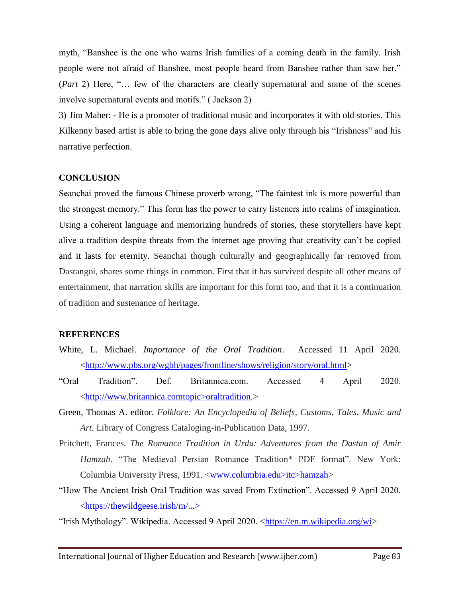myth, "Banshee is the one who warns Irish families of a coming death in the family. Irish people were not afraid of Banshee, most people heard from Banshee rather than saw her." (*Part* 2) Here, "… few of the characters are clearly supernatural and some of the scenes involve supernatural events and motifs." ( Jackson 2)

3) Jim Maher: - He is a promoter of traditional music and incorporates it with old stories. This Kilkenny based artist is able to bring the gone days alive only through his "Irishness" and his narrative perfection.

#### **CONCLUSION**

Seanchai proved the famous Chinese proverb wrong, "The faintest ink is more powerful than the strongest memory." This form has the power to carry listeners into realms of imagination. Using a coherent language and memorizing hundreds of stories, these storytellers have kept alive a tradition despite threats from the internet age proving that creativity can"t be copied and it lasts for eternity. Seanchai though culturally and geographically far removed from Dastangoi, shares some things in common. First that it has survived despite all other means of entertainment, that narration skills are important for this form too, and that it is a continuation of tradition and sustenance of heritage.

#### **REFERENCES**

- White, L. Michael. *Importance of the Oral Tradition*. Accessed 11 April 2020. [<http://www.pbs.org/wgbh/pages/frontline/shows/religion/story/oral.html>](http://www.pbs.org/wgbh/pages/frontline/shows/religion/story/oral.html)
- "Oral Tradition". Def. Britannica.com. Accessed 4 April 2020. <http://www.britannica.comtopic>oraltradition.>
- Green, Thomas A. editor. *Folklore: An Encyclopedia of Beliefs, Customs, Tales, Music and Art*. Library of Congress Cataloging-in-Publication Data, 1997.
- Pritchett, Frances. *The Romance Tradition in Urdu: Adventures from the Dastan of Amir Hamzah.* "The Medieval Persian Romance Tradition\* PDF format". New York: Columbia University Press, 1991. <www.columbia.edu>itc>hamzah>
- "How The Ancient Irish Oral Tradition was saved From Extinction". Accessed 9 April 2020. [<https://thewildgeese.irish/m/...>](https://thewildgeese.irish/m/...%3e)
- "Irish Mythology". Wikipedia. Accessed 9 April 2020. [<https://en.m.wikipedia.org/wi>](https://en.m.wikipedia.org/wi)